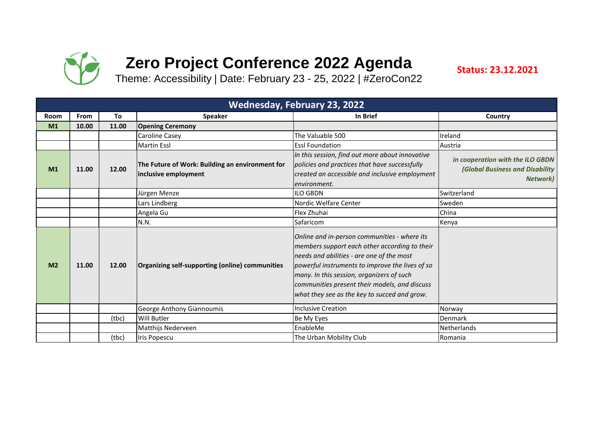

## **Zero Project Conference 2022 Agenda**

**Status: 23.12.2021**

Theme: Accessibility | Date: February 23 - 25, 2022 | #ZeroCon22

|                |             |       |                                                                         | <b>Wednesday, February 23, 2022</b>                                                                                                                                                                                                                                                                                                         |                                                                                                |
|----------------|-------------|-------|-------------------------------------------------------------------------|---------------------------------------------------------------------------------------------------------------------------------------------------------------------------------------------------------------------------------------------------------------------------------------------------------------------------------------------|------------------------------------------------------------------------------------------------|
| <b>Room</b>    | <b>From</b> | To    | <b>Speaker</b>                                                          | In Brief                                                                                                                                                                                                                                                                                                                                    | Country                                                                                        |
| M1             | 10.00       | 11.00 | <b>Opening Ceremony</b>                                                 |                                                                                                                                                                                                                                                                                                                                             |                                                                                                |
|                |             |       | Caroline Casey                                                          | The Valuable 500                                                                                                                                                                                                                                                                                                                            | Ireland                                                                                        |
|                |             |       | <b>Martin Essl</b>                                                      | <b>Essl Foundation</b>                                                                                                                                                                                                                                                                                                                      | Austria                                                                                        |
| M1             | 11.00       | 12.00 | The Future of Work: Building an environment for<br>inclusive employment | In this session, find out more about innovative<br>policies and practices that have successfully<br>created an accessible and inclusive employment<br>environment.                                                                                                                                                                          | in cooperation with the ILO GBDN<br><b>(Global Business and Disability</b><br><b>Network</b> ) |
|                |             |       | Jürgen Menze                                                            | <b>ILO GBDN</b>                                                                                                                                                                                                                                                                                                                             | Switzerland                                                                                    |
|                |             |       | Lars Lindberg                                                           | Nordic Welfare Center                                                                                                                                                                                                                                                                                                                       | Sweden                                                                                         |
|                |             |       | Angela Gu                                                               | Flex Zhuhai                                                                                                                                                                                                                                                                                                                                 | China                                                                                          |
|                |             |       | N.N.                                                                    | Safaricom                                                                                                                                                                                                                                                                                                                                   | Kenya                                                                                          |
| M <sub>2</sub> | 11.00       | 12.00 | Organizing self-supporting (online) communities                         | Online and in-person communities - where its<br>members support each other according to their<br>needs and abilities - are one of the most<br>powerful instruments to improve the lives of so<br>many. In this session, organizers of such<br>communities present their models, and discuss<br>what they see as the key to succed and grow. |                                                                                                |
|                |             |       | George Anthony Giannoumis                                               | <b>Inclusive Creation</b>                                                                                                                                                                                                                                                                                                                   | Norway                                                                                         |
|                |             | (tbc) | <b>Will Butler</b>                                                      | Be My Eyes                                                                                                                                                                                                                                                                                                                                  | <b>Denmark</b>                                                                                 |
|                |             |       | Matthijs Nederveen                                                      | EnableMe                                                                                                                                                                                                                                                                                                                                    | Netherlands                                                                                    |
|                |             | (tbc) | <b>Iris Popescu</b>                                                     | The Urban Mobility Club                                                                                                                                                                                                                                                                                                                     | Romania                                                                                        |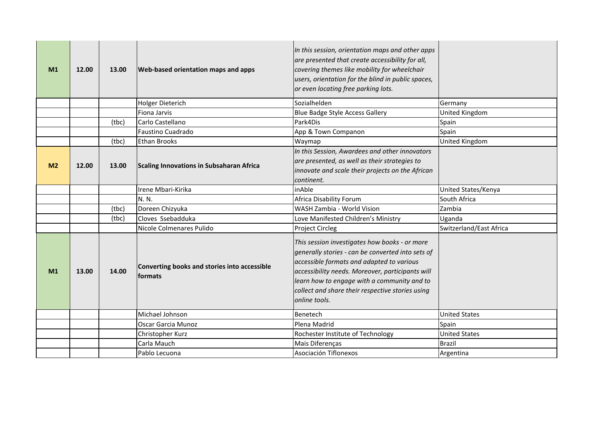| M1             | 12.00 | 13.00 | <b>Web-based orientation maps and apps</b>              | In this session, orientation maps and other apps<br>are presented that create accessibility for all,<br>covering themes like mobility for wheelchair<br>users, orientation for the blind in public spaces,<br>or even locating free parking lots.                                                                       |                         |
|----------------|-------|-------|---------------------------------------------------------|-------------------------------------------------------------------------------------------------------------------------------------------------------------------------------------------------------------------------------------------------------------------------------------------------------------------------|-------------------------|
|                |       |       | Holger Dieterich                                        | Sozialhelden                                                                                                                                                                                                                                                                                                            | Germany                 |
|                |       |       | Fiona Jarvis                                            | Blue Badge Style Access Gallery                                                                                                                                                                                                                                                                                         | United Kingdom          |
|                |       | (tbc) | Carlo Castellano                                        | Park4Dis                                                                                                                                                                                                                                                                                                                | Spain                   |
|                |       |       | Faustino Cuadrado                                       | App & Town Companon                                                                                                                                                                                                                                                                                                     | Spain                   |
|                |       | (tbc) | <b>Ethan Brooks</b>                                     | Waymap                                                                                                                                                                                                                                                                                                                  | United Kingdom          |
| M <sub>2</sub> | 12.00 | 13.00 | <b>Scaling Innovations in Subsaharan Africa</b>         | In this Session, Awardees and other innovators<br>are presented, as well as their strategies to<br>innovate and scale their projects on the African<br>continent.                                                                                                                                                       |                         |
|                |       |       | Irene Mbari-Kirika                                      | inAble                                                                                                                                                                                                                                                                                                                  | United States/Kenya     |
|                |       |       | N. N.                                                   | Africa Disability Forum                                                                                                                                                                                                                                                                                                 | South Africa            |
|                |       | (tbc) | Doreen Chizyuka                                         | WASH Zambia - World Vision                                                                                                                                                                                                                                                                                              | Zambia                  |
|                |       | (tbc) | Cloves Ssebadduka                                       | Love Manifested Children's Ministry                                                                                                                                                                                                                                                                                     | Uganda                  |
|                |       |       | Nicole Colmenares Pulido                                | <b>Project Circleg</b>                                                                                                                                                                                                                                                                                                  | Switzerland/East Africa |
| M1             | 13.00 | 14.00 | Converting books and stories into accessible<br>formats | This session investigates how books - or more<br>generally stories - can be converted into sets of<br>accessible formats and adapted to various<br>accessibility needs. Moreover, participants will<br>learn how to engage with a community and to<br>collect and share their respective stories using<br>online tools. |                         |
|                |       |       | Michael Johnson                                         | Benetech                                                                                                                                                                                                                                                                                                                | <b>United States</b>    |
|                |       |       | <b>Oscar Garcia Munoz</b>                               | Plena Madrid                                                                                                                                                                                                                                                                                                            | Spain                   |
|                |       |       | Christopher Kurz                                        | Rochester Institute of Technology                                                                                                                                                                                                                                                                                       | <b>United States</b>    |
|                |       |       | Carla Mauch                                             | Mais Diferenças                                                                                                                                                                                                                                                                                                         | <b>Brazil</b>           |
|                |       |       | Pablo Lecuona                                           | Asociación Tiflonexos                                                                                                                                                                                                                                                                                                   | Argentina               |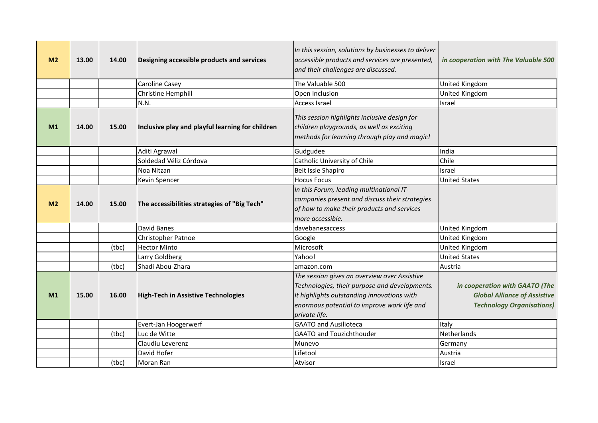| M <sub>2</sub> | 13.00 | 14.00 | Designing accessible products and services       | In this session, solutions by businesses to deliver<br>accessible products and services are presented,<br>and their challenges are discussed.                                                               | in cooperation with The Valuable 500                                                                      |
|----------------|-------|-------|--------------------------------------------------|-------------------------------------------------------------------------------------------------------------------------------------------------------------------------------------------------------------|-----------------------------------------------------------------------------------------------------------|
|                |       |       | Caroline Casey                                   | The Valuable 500                                                                                                                                                                                            | United Kingdom                                                                                            |
|                |       |       | Christine Hemphill                               | Open Inclusion                                                                                                                                                                                              | United Kingdom                                                                                            |
|                |       |       | N.N.                                             | <b>Access Israel</b>                                                                                                                                                                                        | Israel                                                                                                    |
| M <sub>1</sub> | 14.00 | 15.00 | Inclusive play and playful learning for children | This session highlights inclusive design for<br>children playgrounds, as well as exciting<br>methods for learning through play and magic!                                                                   |                                                                                                           |
|                |       |       | Aditi Agrawal                                    | Gudgudee                                                                                                                                                                                                    | India                                                                                                     |
|                |       |       | Soldedad Véliz Córdova                           | Catholic University of Chile                                                                                                                                                                                | Chile                                                                                                     |
|                |       |       | Noa Nitzan                                       | Beit Issie Shapiro                                                                                                                                                                                          | Israel                                                                                                    |
|                |       |       | <b>Kevin Spencer</b>                             | <b>Hocus Focus</b>                                                                                                                                                                                          | <b>United States</b>                                                                                      |
| M <sub>2</sub> | 14.00 | 15.00 | The accessibilities strategies of "Big Tech"     | In this Forum, leading multinational IT-<br>companies present and discuss their strategies<br>of how to make their products and services<br>more accessible.                                                |                                                                                                           |
|                |       |       | David Banes                                      | davebanesaccess                                                                                                                                                                                             | United Kingdom                                                                                            |
|                |       |       | Christopher Patnoe                               | Google                                                                                                                                                                                                      | United Kingdom                                                                                            |
|                |       | (tbc) | <b>Hector Minto</b>                              | Microsoft                                                                                                                                                                                                   | United Kingdom                                                                                            |
|                |       |       | Larry Goldberg                                   | Yahoo!                                                                                                                                                                                                      | <b>United States</b>                                                                                      |
|                |       | (tbc) | Shadi Abou-Zhara                                 | amazon.com                                                                                                                                                                                                  | Austria                                                                                                   |
| M1             | 15.00 | 16.00 | <b>High-Tech in Assistive Technologies</b>       | The session gives an overview over Assistive<br>Technologies, their purpose and developments.<br>It highlights outstanding innovations with<br>enormous potential to improve work life and<br>private life. | in cooperation with GAATO (The<br><b>Global Alliance of Assistive</b><br><b>Technology Organisations)</b> |
|                |       |       | Evert-Jan Hoogerwerf                             | <b>GAATO and Ausilioteca</b>                                                                                                                                                                                | Italy                                                                                                     |
|                |       | (tbc) | Luc de Witte                                     | <b>GAATO and Touzichthouder</b>                                                                                                                                                                             | Netherlands                                                                                               |
|                |       |       | Claudiu Leverenz                                 | Munevo                                                                                                                                                                                                      | Germany                                                                                                   |
|                |       |       | David Hofer                                      | Lifetool                                                                                                                                                                                                    | Austria                                                                                                   |
|                |       | (tbc) | Moran Ran                                        | Atvisor                                                                                                                                                                                                     | Israel                                                                                                    |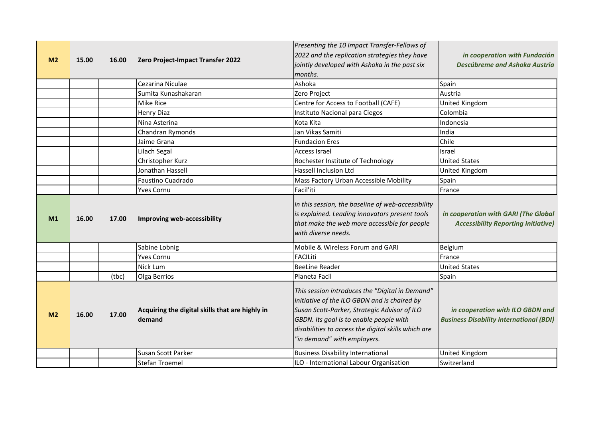|                |       |       |                                                           | Presenting the 10 Impact Transfer-Fellows of                                                                                                                                                                                                                                     |                                                                                    |
|----------------|-------|-------|-----------------------------------------------------------|----------------------------------------------------------------------------------------------------------------------------------------------------------------------------------------------------------------------------------------------------------------------------------|------------------------------------------------------------------------------------|
| M <sub>2</sub> | 15.00 | 16.00 | Zero Project-Impact Transfer 2022                         | 2022 and the replication strategies they have                                                                                                                                                                                                                                    | in cooperation with Fundación                                                      |
|                |       |       |                                                           | jointly developed with Ashoka in the past six                                                                                                                                                                                                                                    | Descúbreme and Ashoka Austria                                                      |
|                |       |       |                                                           | months.                                                                                                                                                                                                                                                                          |                                                                                    |
|                |       |       | Cezarina Niculae                                          | Ashoka                                                                                                                                                                                                                                                                           | Spain                                                                              |
|                |       |       | Sumita Kunashakaran                                       | Zero Project                                                                                                                                                                                                                                                                     | Austria                                                                            |
|                |       |       | Mike Rice                                                 | Centre for Access to Football (CAFE)                                                                                                                                                                                                                                             | United Kingdom                                                                     |
|                |       |       | <b>Henry Diaz</b>                                         | Instituto Nacional para Ciegos                                                                                                                                                                                                                                                   | Colombia                                                                           |
|                |       |       | Nina Asterina                                             | Kota Kita                                                                                                                                                                                                                                                                        | Indonesia                                                                          |
|                |       |       | Chandran Rymonds                                          | Jan Vikas Samiti                                                                                                                                                                                                                                                                 | India                                                                              |
|                |       |       | Jaime Grana                                               | <b>Fundacion Eres</b>                                                                                                                                                                                                                                                            | Chile                                                                              |
|                |       |       | Lilach Segal                                              | Access Israel                                                                                                                                                                                                                                                                    | <b>Israel</b>                                                                      |
|                |       |       | Christopher Kurz                                          | Rochester Institute of Technology                                                                                                                                                                                                                                                | <b>United States</b>                                                               |
|                |       |       | Jonathan Hassell                                          | Hassell Inclusion Ltd                                                                                                                                                                                                                                                            | United Kingdom                                                                     |
|                |       |       | Faustino Cuadrado                                         | Mass Factory Urban Accessible Mobility                                                                                                                                                                                                                                           | Spain                                                                              |
|                |       |       | Yves Cornu                                                | Facil'iti                                                                                                                                                                                                                                                                        | France                                                                             |
| M1             | 16.00 | 17.00 | Improving web-accessibility                               | In this session, the baseline of web-accessibility<br>is explained. Leading innovators present tools<br>that make the web more accessible for people<br>with diverse needs.                                                                                                      | in cooperation with GARI (The Global<br><b>Accessibility Reporting Initiative)</b> |
|                |       |       | Sabine Lobnig                                             | Mobile & Wireless Forum and GARI                                                                                                                                                                                                                                                 | Belgium                                                                            |
|                |       |       | <b>Yves Cornu</b>                                         | <b>FACILiti</b>                                                                                                                                                                                                                                                                  | France                                                                             |
|                |       |       | Nick Lum                                                  | <b>BeeLine Reader</b>                                                                                                                                                                                                                                                            | <b>United States</b>                                                               |
|                |       | (tbc) | Olga Berrios                                              | Planeta Facil                                                                                                                                                                                                                                                                    | Spain                                                                              |
| M <sub>2</sub> | 16.00 | 17.00 | Acquiring the digital skills that are highly in<br>demand | This session introduces the "Digital in Demand"<br>Initiative of the ILO GBDN and is chaired by<br>Susan Scott-Parker, Strategic Advisor of ILO<br>GBDN. Its goal is to enable people with<br>disabilities to access the digital skills which are<br>"in demand" with employers. | in cooperation with ILO GBDN and<br><b>Business Disability International (BDI)</b> |
|                |       |       | Susan Scott Parker                                        | <b>Business Disability International</b>                                                                                                                                                                                                                                         | United Kingdom                                                                     |
|                |       |       | Stefan Troemel                                            | ILO - International Labour Organisation                                                                                                                                                                                                                                          | Switzerland                                                                        |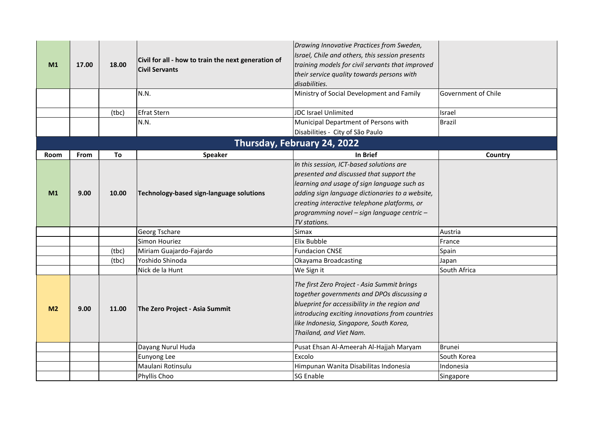| M1             | 17.00 | 18.00 | Civil for all - how to train the next generation of<br><b>Civil Servants</b> | Drawing Innovative Practices from Sweden,<br>Israel, Chile and others, this session presents<br>training models for civil servants that improved<br>their service quality towards persons with<br>disabilities.                                                                                       |                     |
|----------------|-------|-------|------------------------------------------------------------------------------|-------------------------------------------------------------------------------------------------------------------------------------------------------------------------------------------------------------------------------------------------------------------------------------------------------|---------------------|
|                |       |       | N.N.                                                                         | Ministry of Social Development and Family                                                                                                                                                                                                                                                             | Government of Chile |
|                |       | (tbc) | <b>Efrat Stern</b>                                                           | JDC Israel Unlimited                                                                                                                                                                                                                                                                                  | Israel              |
|                |       |       | N.N.                                                                         | Municipal Department of Persons with                                                                                                                                                                                                                                                                  | <b>Brazil</b>       |
|                |       |       |                                                                              | Disabilities - City of São Paulo                                                                                                                                                                                                                                                                      |                     |
|                |       |       |                                                                              | Thursday, February 24, 2022                                                                                                                                                                                                                                                                           |                     |
| Room           | From  | To    | <b>Speaker</b>                                                               | In Brief                                                                                                                                                                                                                                                                                              | Country             |
| M1             | 9.00  | 10.00 | Technology-based sign-language solutions                                     | In this session, ICT-based solutions are<br>presented and discussed that support the<br>learning and usage of sign language such as<br>adding sign language dictionaries to a website,<br>creating interactive telephone platforms, or<br>programming novel - sign language centric -<br>TV stations. |                     |
|                |       |       | Georg Tschare                                                                | <b>Simax</b>                                                                                                                                                                                                                                                                                          | Austria             |
|                |       |       | Simon Houriez                                                                | Elix Bubble                                                                                                                                                                                                                                                                                           | France              |
|                |       | (tbc) | Miriam Guajardo-Fajardo                                                      | <b>Fundacion CNSE</b>                                                                                                                                                                                                                                                                                 | Spain               |
|                |       | (tbc) | Yoshido Shinoda                                                              | Okayama Broadcasting                                                                                                                                                                                                                                                                                  | Japan               |
|                |       |       | Nick de la Hunt                                                              | We Sign it                                                                                                                                                                                                                                                                                            | South Africa        |
| M <sub>2</sub> | 9.00  | 11.00 | The Zero Project - Asia Summit                                               | The first Zero Project - Asia Summit brings<br>together governments and DPOs discussing a<br>blueprint for accessibility in the region and<br>introducing exciting innovations from countries<br>like Indonesia, Singapore, South Korea,<br>Thailand, and Viet Nam.                                   |                     |
|                |       |       | Dayang Nurul Huda                                                            | Pusat Ehsan Al-Ameerah Al-Hajjah Maryam                                                                                                                                                                                                                                                               | <b>Brunei</b>       |
|                |       |       | Eunyong Lee                                                                  | Excolo                                                                                                                                                                                                                                                                                                | South Korea         |
|                |       |       | Maulani Rotinsulu                                                            | Himpunan Wanita Disabilitas Indonesia                                                                                                                                                                                                                                                                 | Indonesia           |
|                |       |       | Phyllis Choo                                                                 | <b>SG Enable</b>                                                                                                                                                                                                                                                                                      | Singapore           |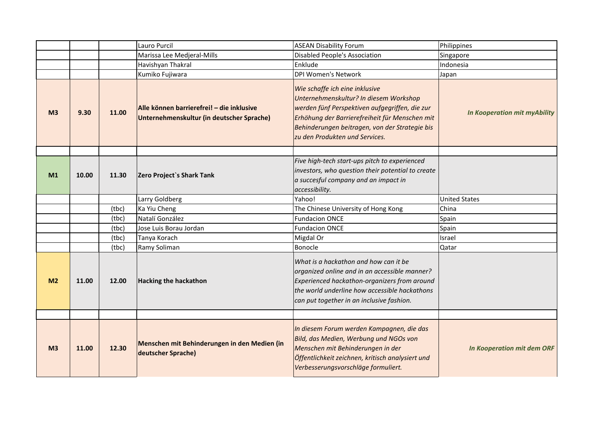|                |       |       | Lauro Purcil                                                                           | <b>ASEAN Disability Forum</b>                                                                                                                                                                                                                                    | Philippines                         |
|----------------|-------|-------|----------------------------------------------------------------------------------------|------------------------------------------------------------------------------------------------------------------------------------------------------------------------------------------------------------------------------------------------------------------|-------------------------------------|
|                |       |       | Marissa Lee Medjeral-Mills                                                             | <b>Disabled People's Association</b>                                                                                                                                                                                                                             | Singapore                           |
|                |       |       | Havishyan Thakral                                                                      | Enklude                                                                                                                                                                                                                                                          | Indonesia                           |
|                |       |       | Kumiko Fujiwara                                                                        | <b>DPI Women's Network</b>                                                                                                                                                                                                                                       | Japan                               |
| M <sub>3</sub> | 9.30  | 11.00 | Alle können barrierefrei! - die inklusive<br>Unternehmenskultur (in deutscher Sprache) | Wie schaffe ich eine inklusive<br>Unternehmenskultur? In diesem Workshop<br>werden fünf Perspektiven aufgegriffen, die zur<br>Erhöhung der Barrierefreiheit für Menschen mit<br>Behinderungen beitragen, von der Strategie bis<br>zu den Produkten und Services. | <b>In Kooperation mit myAbility</b> |
|                |       |       |                                                                                        |                                                                                                                                                                                                                                                                  |                                     |
| M1             | 10.00 | 11.30 | Zero Project's Shark Tank                                                              | Five high-tech start-ups pitch to experienced<br>investors, who question their potential to create<br>a succesful company and an impact in<br>accessibility.                                                                                                     |                                     |
|                |       |       | Larry Goldberg                                                                         | Yahoo!                                                                                                                                                                                                                                                           | <b>United States</b>                |
|                |       | (tbc) | Ka Yiu Cheng                                                                           | The Chinese University of Hong Kong                                                                                                                                                                                                                              | China                               |
|                |       | (tbc) | Natalí González                                                                        | <b>Fundacion ONCE</b>                                                                                                                                                                                                                                            | Spain                               |
|                |       | (tbc) | Jose Luis Borau Jordan                                                                 | <b>Fundacion ONCE</b>                                                                                                                                                                                                                                            | Spain                               |
|                |       | (tbc) | Tanya Korach                                                                           | Migdal Or                                                                                                                                                                                                                                                        | Israel                              |
|                |       | (tbc) | Ramy Soliman                                                                           | Bonocle                                                                                                                                                                                                                                                          | Qatar                               |
| M <sub>2</sub> | 11.00 | 12.00 | <b>Hacking the hackathon</b>                                                           | What is a hackathon and how can it be<br>organized online and in an accessible manner?<br>Experienced hackathon-organizers from around<br>the world underline how accessible hackathons<br>can put together in an inclusive fashion.                             |                                     |
|                |       |       |                                                                                        |                                                                                                                                                                                                                                                                  |                                     |
| M <sub>3</sub> | 11.00 | 12.30 | Menschen mit Behinderungen in den Medien (in<br>deutscher Sprache)                     | In diesem Forum werden Kampagnen, die das<br>Bild, das Medien, Werbung und NGOs von<br>Menschen mit Behinderungen in der<br>Öffentlichkeit zeichnen, kritisch analysiert und<br>Verbesserungsvorschläge formuliert.                                              | <b>In Kooperation mit dem ORF</b>   |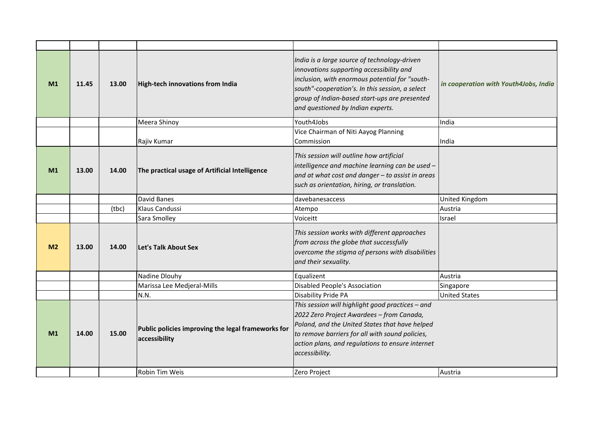| M1             | 11.45 | 13.00 | High-tech innovations from India                                    | India is a large source of technology-driven<br>innovations supporting accessibility and<br>inclusion, with enormous potential for "south-<br>south"-cooperation's. In this session, a select<br>group of Indian-based start-ups are presented<br>and questioned by Indian experts. | in cooperation with Youth4Jobs, India |
|----------------|-------|-------|---------------------------------------------------------------------|-------------------------------------------------------------------------------------------------------------------------------------------------------------------------------------------------------------------------------------------------------------------------------------|---------------------------------------|
|                |       |       | Meera Shinoy                                                        | Youth4Jobs                                                                                                                                                                                                                                                                          | India                                 |
|                |       |       | Rajiv Kumar                                                         | Vice Chairman of Niti Aayog Planning<br>Commission                                                                                                                                                                                                                                  | India                                 |
| M <sub>1</sub> | 13.00 | 14.00 | The practical usage of Artificial Intelligence                      | This session will outline how artificial<br>intelligence and machine learning can be used -<br>and at what cost and danger - to assist in areas<br>such as orientation, hiring, or translation.                                                                                     |                                       |
|                |       |       | David Banes                                                         | davebanesaccess                                                                                                                                                                                                                                                                     | United Kingdom                        |
|                |       | (tbc) | Klaus Candussi                                                      | Atempo                                                                                                                                                                                                                                                                              | Austria                               |
|                |       |       | Sara Smolley                                                        | Voiceitt                                                                                                                                                                                                                                                                            | Israel                                |
| M <sub>2</sub> | 13.00 | 14.00 | Let's Talk About Sex                                                | This session works with different approaches<br>from across the globe that successfully<br>overcome the stigma of persons with disabilities<br>and their sexuality.                                                                                                                 |                                       |
|                |       |       | Nadine Dlouhy                                                       | Equalizent                                                                                                                                                                                                                                                                          | Austria                               |
|                |       |       | Marissa Lee Medjeral-Mills                                          | <b>Disabled People's Association</b>                                                                                                                                                                                                                                                | Singapore                             |
|                |       |       | N.N.                                                                | <b>Disability Pride PA</b>                                                                                                                                                                                                                                                          | <b>United States</b>                  |
| M1             | 14.00 | 15.00 | Public policies improving the legal frameworks for<br>accessibility | This session will highlight good practices - and<br>2022 Zero Project Awardees - from Canada,<br>Poland, and the United States that have helped<br>to remove barriers for all with sound policies,<br>action plans, and regulations to ensure internet<br>accessibility.            |                                       |
|                |       |       | <b>Robin Tim Weis</b>                                               | Zero Project                                                                                                                                                                                                                                                                        | Austria                               |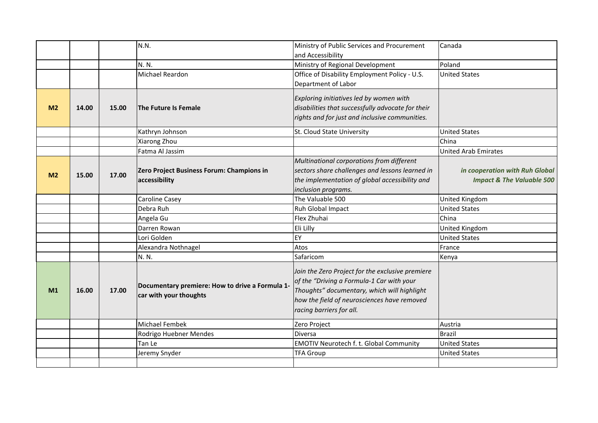|                |       |       | N.N.                                                                      | Ministry of Public Services and Procurement<br>and Accessibility                                                                                                                                                        | Canada                                                                 |
|----------------|-------|-------|---------------------------------------------------------------------------|-------------------------------------------------------------------------------------------------------------------------------------------------------------------------------------------------------------------------|------------------------------------------------------------------------|
|                |       |       | N. N.                                                                     | Ministry of Regional Development                                                                                                                                                                                        | Poland                                                                 |
|                |       |       | Michael Reardon                                                           | Office of Disability Employment Policy - U.S.<br>Department of Labor                                                                                                                                                    | <b>United States</b>                                                   |
| M <sub>2</sub> | 14.00 | 15.00 | The Future Is Female                                                      | Exploring initiatives led by women with<br>disabilities that successfully advocate for their<br>rights and for just and inclusive communities.                                                                          |                                                                        |
|                |       |       | Kathryn Johnson                                                           | St. Cloud State University                                                                                                                                                                                              | <b>United States</b>                                                   |
|                |       |       | Xiarong Zhou                                                              |                                                                                                                                                                                                                         | China                                                                  |
|                |       |       | Fatma Al Jassim                                                           |                                                                                                                                                                                                                         | <b>United Arab Emirates</b>                                            |
| M <sub>2</sub> | 15.00 | 17.00 | Zero Project Business Forum: Champions in<br>accessibility                | Multinational corporations from different<br>sectors share challenges and lessons learned in<br>the implementation of global accessibility and<br>inclusion programs.                                                   | in cooperation with Ruh Global<br><b>Impact &amp; The Valuable 500</b> |
|                |       |       | Caroline Casey                                                            | The Valuable 500                                                                                                                                                                                                        | United Kingdom                                                         |
|                |       |       | Debra Ruh                                                                 | Ruh Global Impact                                                                                                                                                                                                       | <b>United States</b>                                                   |
|                |       |       | Angela Gu                                                                 | Flex Zhuhai                                                                                                                                                                                                             | China                                                                  |
|                |       |       | Darren Rowan                                                              | Eli Lilly                                                                                                                                                                                                               | United Kingdom                                                         |
|                |       |       | Lori Golden                                                               | EY                                                                                                                                                                                                                      | <b>United States</b>                                                   |
|                |       |       | Alexandra Nothnagel                                                       | Atos                                                                                                                                                                                                                    | France                                                                 |
|                |       |       | N. N.                                                                     | Safaricom                                                                                                                                                                                                               | Kenya                                                                  |
| M1             | 16.00 | 17.00 | Documentary premiere: How to drive a Formula 1-<br>car with your thoughts | Join the Zero Project for the exclusive premiere<br>of the "Driving a Formula-1 Car with your<br>Thoughts" documentary, which will highlight<br>how the field of neurosciences have removed<br>racing barriers for all. |                                                                        |
|                |       |       | Michael Fembek                                                            | Zero Project                                                                                                                                                                                                            | Austria                                                                |
|                |       |       | Rodrigo Huebner Mendes                                                    | <b>Diversa</b>                                                                                                                                                                                                          | <b>Brazil</b>                                                          |
|                |       |       | Tan Le                                                                    | <b>EMOTIV Neurotech f. t. Global Community</b>                                                                                                                                                                          | <b>United States</b>                                                   |
|                |       |       | Jeremy Snyder                                                             | <b>TFA Group</b>                                                                                                                                                                                                        | <b>United States</b>                                                   |
|                |       |       |                                                                           |                                                                                                                                                                                                                         |                                                                        |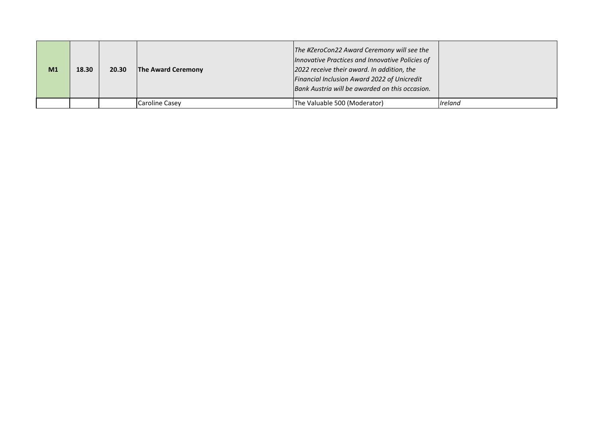| M <sub>1</sub> | 18.30 | 20.30 | The Award Ceremony | The #ZeroCon22 Award Ceremony will see the<br>Innovative Practices and Innovative Policies of<br>2022 receive their award. In addition, the<br>Financial Inclusion Award 2022 of Unicredit<br>Bank Austria will be awarded on this occasion. |         |
|----------------|-------|-------|--------------------|----------------------------------------------------------------------------------------------------------------------------------------------------------------------------------------------------------------------------------------------|---------|
|                |       |       | Caroline Casev     | The Valuable 500 (Moderator)                                                                                                                                                                                                                 | Ireland |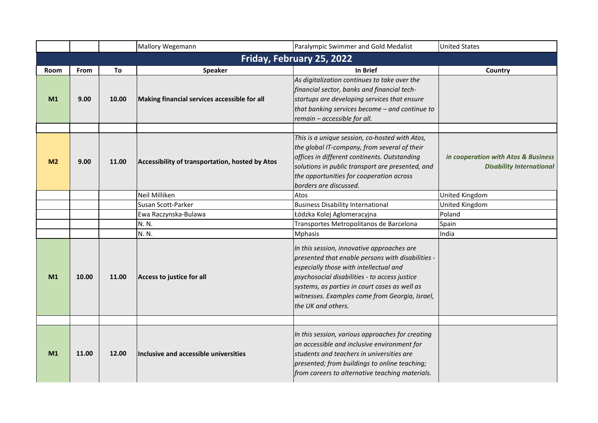|                |             |       | Mallory Wegemann                                | Paralympic Swimmer and Gold Medalist                                                                                                                                                                                                                                                                                | <b>United States</b>                                                   |
|----------------|-------------|-------|-------------------------------------------------|---------------------------------------------------------------------------------------------------------------------------------------------------------------------------------------------------------------------------------------------------------------------------------------------------------------------|------------------------------------------------------------------------|
|                |             |       |                                                 | Friday, February 25, 2022                                                                                                                                                                                                                                                                                           |                                                                        |
| Room           | <b>From</b> | To    | <b>Speaker</b>                                  | In Brief                                                                                                                                                                                                                                                                                                            | Country                                                                |
| M1             | 9.00        | 10.00 | Making financial services accessible for all    | As digitalization continues to take over the<br>financial sector, banks and financial tech-<br>startups are developing services that ensure<br>that banking services become - and continue to<br>remain - accessible for all.                                                                                       |                                                                        |
| M <sub>2</sub> | 9.00        | 11.00 | Accessibility of transportation, hosted by Atos | This is a unique session, co-hosted with Atos,<br>the global IT-company, from several of their<br>offices in different continents. Outstanding<br>solutions in public transport are presented, and<br>the opportunities for cooperation across<br>borders are discussed.                                            | in cooperation with Atos & Business<br><b>Disability International</b> |
|                |             |       | Neil Milliken                                   | Atos                                                                                                                                                                                                                                                                                                                | United Kingdom                                                         |
|                |             |       | Susan Scott-Parker                              | <b>Business Disability International</b>                                                                                                                                                                                                                                                                            | United Kingdom                                                         |
|                |             |       | Ewa Raczynska-Bulawa                            | Łódzka Kolej Aglomeracyjna                                                                                                                                                                                                                                                                                          | Poland                                                                 |
|                |             |       | N. N.                                           | Transportes Metropolitanos de Barcelona                                                                                                                                                                                                                                                                             | Spain                                                                  |
|                |             |       | N. N.                                           | <b>Mphasis</b>                                                                                                                                                                                                                                                                                                      | India                                                                  |
| M1             | 10.00       | 11.00 | Access to justice for all                       | In this session, innovative approaches are<br>presented that enable persons with disabilities -<br>especially those with intellectual and<br>psychosocial disabilities - to access justice<br>systems, as parties in court cases as well as<br>witnesses. Examples come from Georgia, Israel,<br>the UK and others. |                                                                        |
|                |             |       |                                                 |                                                                                                                                                                                                                                                                                                                     |                                                                        |
| M1             | 11.00       | 12.00 | Inclusive and accessible universities           | In this session, various approaches for creating<br>an accessible and inclusive environment for<br>students and teachers in universities are<br>presented; from buildings to online teaching;<br>from careers to alternative teaching materials.                                                                    |                                                                        |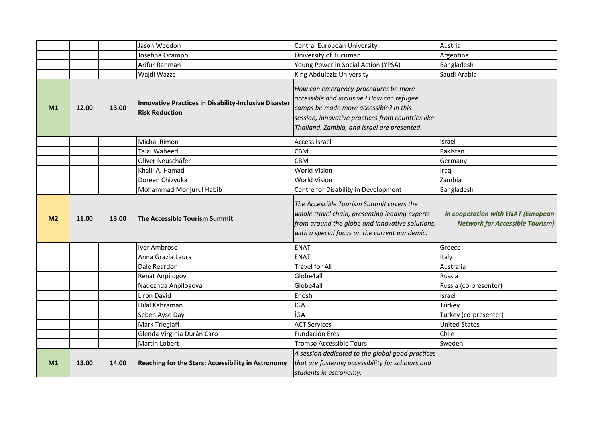|                |       |       | Jason Weedon                                                                   | Central European University                                                                                                                                                                                                     | Austria                                                                      |
|----------------|-------|-------|--------------------------------------------------------------------------------|---------------------------------------------------------------------------------------------------------------------------------------------------------------------------------------------------------------------------------|------------------------------------------------------------------------------|
|                |       |       | Josefina Ocampo                                                                | University of Tucuman                                                                                                                                                                                                           | Argentina                                                                    |
|                |       |       | Arifur Rahman                                                                  | Young Power in Social Action (YPSA)                                                                                                                                                                                             | Bangladesh                                                                   |
|                |       |       | Wajdi Wazza                                                                    | King Abdulaziz University                                                                                                                                                                                                       | Saudi Arabia                                                                 |
| M1             | 12.00 | 13.00 | Innovative Practices in Disability-Inclusive Disaster<br><b>Risk Reduction</b> | How can emergency-procedures be more<br>accessible and inclusive? How can refugee<br>camps be made more accessible? In this<br>session, innovative practices from countries like<br>Thailand, Zambia, and Israel are presented. |                                                                              |
|                |       |       | <b>Michal Rimon</b>                                                            | <b>Access Israel</b>                                                                                                                                                                                                            | Israel                                                                       |
|                |       |       | <b>Talal Waheed</b>                                                            | <b>CBM</b>                                                                                                                                                                                                                      | Pakistan                                                                     |
|                |       |       | Oliver Neuschäfer                                                              | <b>CBM</b>                                                                                                                                                                                                                      | Germany                                                                      |
|                |       |       | Khalil A. Hamad                                                                | <b>World Vision</b>                                                                                                                                                                                                             | Iraq                                                                         |
|                |       |       | Doreen Chizyuka                                                                | World Vision                                                                                                                                                                                                                    | Zambia                                                                       |
|                |       |       | Mohammad Monjurul Habib                                                        | Centre for Disability in Development                                                                                                                                                                                            | Bangladesh                                                                   |
| M <sub>2</sub> | 11.00 | 13.00 | The Accessible Tourism Summit                                                  | The Accessible Tourism Summit covers the<br>whole travel chain, presenting leading experts<br>from around the globe and innovative solutions,<br>with a special focus on the current pandemic.                                  | in cooperation with ENAT (European<br><b>Network for Accessible Tourism)</b> |
|                |       |       | Ivor Ambrose                                                                   | <b>ENAT</b>                                                                                                                                                                                                                     | Greece                                                                       |
|                |       |       | Anna Grazia Laura                                                              | <b>ENAT</b>                                                                                                                                                                                                                     | Italy                                                                        |
|                |       |       | Dale Reardon                                                                   | <b>Travel for All</b>                                                                                                                                                                                                           | Australia                                                                    |
|                |       |       | Renat Anpilogov                                                                | Globe4all                                                                                                                                                                                                                       | Russia                                                                       |
|                |       |       | Nadezhda Anpilogova                                                            | Globe4all                                                                                                                                                                                                                       | Russia (co-presenter)                                                        |
|                |       |       | Liron David                                                                    | Enosh                                                                                                                                                                                                                           | Israel                                                                       |
|                |       |       | Hilal Kahraman                                                                 | İGA                                                                                                                                                                                                                             | Turkey                                                                       |
|                |       |       | Seben Ayşe Dayı                                                                | İGA                                                                                                                                                                                                                             | Turkey (co-presenter)                                                        |
|                |       |       | Mark Trieglaff                                                                 | <b>ACT Services</b>                                                                                                                                                                                                             | <b>United States</b>                                                         |
|                |       |       | Glenda Virginia Durán Caro                                                     | Fundación Eres                                                                                                                                                                                                                  | Chile                                                                        |
|                |       |       | Martin Lobert                                                                  | Tromsø Accessible Tours                                                                                                                                                                                                         | Sweden                                                                       |
| M1             | 13.00 | 14.00 | <b>Reaching for the Stars: Accessibility in Astronomy</b>                      | A session dedicated to the global good practices<br>that are fostering accessibility for scholars and                                                                                                                           |                                                                              |
|                |       |       |                                                                                | students in astronomy.                                                                                                                                                                                                          |                                                                              |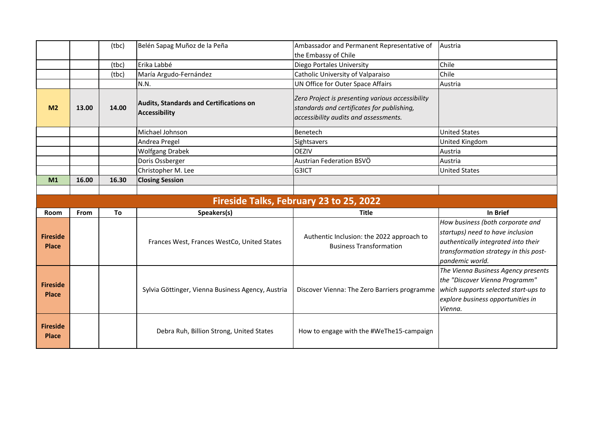|                                 |       | (tbc) | Belén Sapag Muñoz de la Peña                                    | Ambassador and Permanent Representative of                                                                                              | Austria                                                                                                                                                                 |
|---------------------------------|-------|-------|-----------------------------------------------------------------|-----------------------------------------------------------------------------------------------------------------------------------------|-------------------------------------------------------------------------------------------------------------------------------------------------------------------------|
|                                 |       |       |                                                                 | the Embassy of Chile                                                                                                                    |                                                                                                                                                                         |
|                                 |       | (tbc) | Erika Labbé                                                     | Diego Portales University                                                                                                               | Chile                                                                                                                                                                   |
|                                 |       | (tbc) | María Argudo-Fernández                                          | Catholic University of Valparaiso                                                                                                       | Chile                                                                                                                                                                   |
|                                 |       |       | N.N.                                                            | UN Office for Outer Space Affairs                                                                                                       | Austria                                                                                                                                                                 |
| M <sub>2</sub>                  | 13.00 | 14.00 | <b>Audits, Standards and Certifications on</b><br>Accessibility | Zero Project is presenting various accessibility<br>standards and certificates for publishing,<br>accessibility audits and assessments. |                                                                                                                                                                         |
|                                 |       |       | Michael Johnson                                                 | Benetech                                                                                                                                | <b>United States</b>                                                                                                                                                    |
|                                 |       |       | Andrea Pregel                                                   | Sightsavers                                                                                                                             | United Kingdom                                                                                                                                                          |
|                                 |       |       | <b>Wolfgang Drabek</b>                                          | <b>OEZIV</b>                                                                                                                            | Austria                                                                                                                                                                 |
|                                 |       |       | Doris Ossberger                                                 | Austrian Federation BSVÖ                                                                                                                | Austria                                                                                                                                                                 |
|                                 |       |       | Christopher M. Lee                                              | G3ICT                                                                                                                                   | <b>United States</b>                                                                                                                                                    |
| M1                              | 16.00 | 16.30 | <b>Closing Session</b>                                          |                                                                                                                                         |                                                                                                                                                                         |
|                                 |       |       |                                                                 |                                                                                                                                         |                                                                                                                                                                         |
|                                 |       |       |                                                                 |                                                                                                                                         |                                                                                                                                                                         |
|                                 |       |       |                                                                 | Fireside Talks, February 23 to 25, 2022                                                                                                 |                                                                                                                                                                         |
| <b>Room</b>                     | From  | To    | Speakers(s)                                                     | <b>Title</b>                                                                                                                            | In Brief                                                                                                                                                                |
| <b>Fireside</b><br><b>Place</b> |       |       | Frances West, Frances WestCo, United States                     | Authentic Inclusion: the 2022 approach to<br><b>Business Transformation</b>                                                             | How business (both corporate and<br>startups) need to have inclusion<br>authentically integrated into their<br>transformation strategy in this post-<br>pandemic world. |
| <b>Fireside</b><br><b>Place</b> |       |       | Sylvia Göttinger, Vienna Business Agency, Austria               | Discover Vienna: The Zero Barriers programme                                                                                            | The Vienna Business Agency presents<br>the "Discover Vienna Programm"<br>which supports selected start-ups to<br>explore business opportunities in<br>Vienna.           |